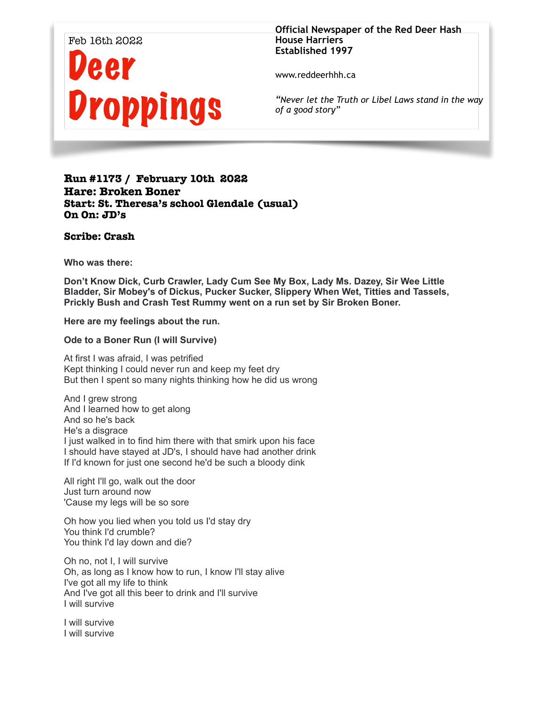

**Official Newspaper of the Red Deer Hash House Harriers Established 1997** 

www.reddeerhhh.ca

*"Never let the Truth or Libel Laws stand in the way of a good story"*

## **Run #1173 / February 10th 2022 Hare: Broken Boner Start: St. Theresa's school Glendale (usual) On On: JD's**

## **Scribe: Crash**

**Who was there:** 

**Don't Know Dick, Curb Crawler, Lady Cum See My Box, Lady Ms. Dazey, Sir Wee Little Bladder, Sir Mobey's of Dickus, Pucker Sucker, Slippery When Wet, Titties and Tassels, Prickly Bush and Crash Test Rummy went on a run set by Sir Broken Boner.** 

**Here are my feelings about the run.** 

**Ode to a Boner Run (I will Survive)** 

At first I was afraid, I was petrified Kept thinking I could never run and keep my feet dry But then I spent so many nights thinking how he did us wrong

And I grew strong And I learned how to get along And so he's back He's a disgrace I just walked in to find him there with that smirk upon his face I should have stayed at JD's, I should have had another drink If I'd known for just one second he'd be such a bloody dink

All right I'll go, walk out the door Just turn around now 'Cause my legs will be so sore

Oh how you lied when you told us I'd stay dry You think I'd crumble? You think I'd lay down and die?

Oh no, not I, I will survive Oh, as long as I know how to run, I know I'll stay alive I've got all my life to think And I've got all this beer to drink and I'll survive I will survive

I will survive I will survive